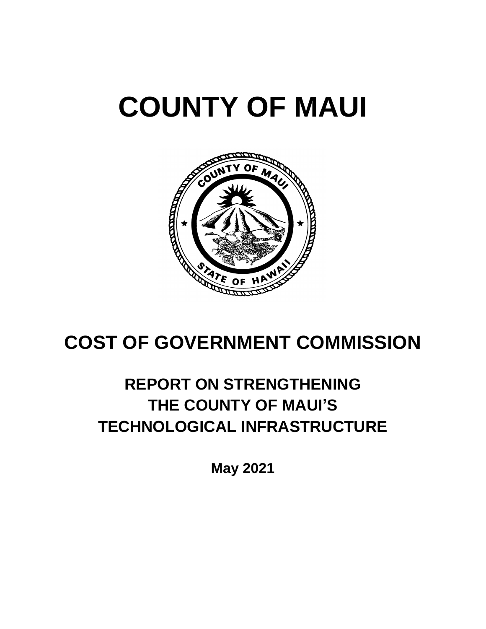



## **COST OF GOVERNMENT COMMISSION**

### **REPORT ON STRENGTHENING THE COUNTY OF MAUI'S TECHNOLOGICAL INFRASTRUCTURE**

**May 2021**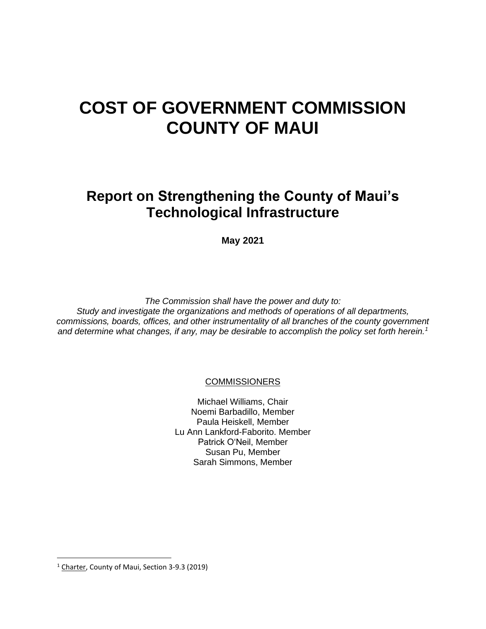### **COST OF GOVERNMENT COMMISSION COUNTY OF MAUI**

**Report on Strengthening the County of Maui's Technological Infrastructure**

**May 2021**

*The Commission shall have the power and duty to: Study and investigate the organizations and methods of operations of all departments, commissions, boards, offices, and other instrumentality of all branches of the county government and determine what changes, if any, may be desirable to accomplish the policy set forth herein.<sup>1</sup>*

**COMMISSIONERS** 

Michael Williams, Chair Noemi Barbadillo, Member Paula Heiskell, Member Lu Ann Lankford-Faborito. Member Patrick OʻNeil, Member Susan Pu, Member Sarah Simmons, Member

<sup>&</sup>lt;sup>1</sup> Charter, County of Maui, Section 3-9.3 (2019)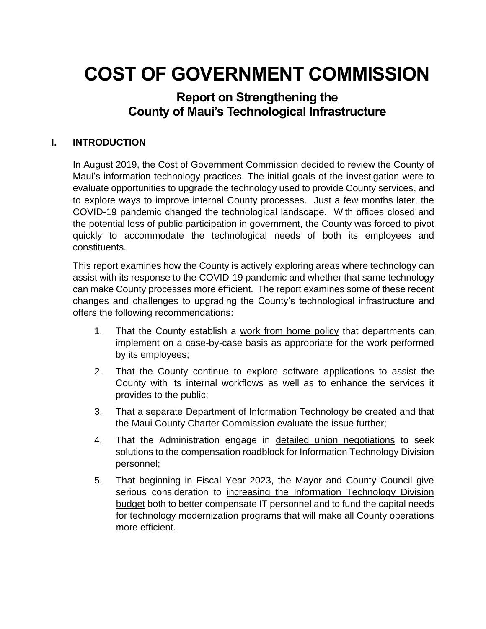# **COST OF GOVERNMENT COMMISSION**

### **Report on Strengthening the County of Maui's Technological Infrastructure**

#### **I. INTRODUCTION**

In August 2019, the Cost of Government Commission decided to review the County of Maui's information technology practices. The initial goals of the investigation were to evaluate opportunities to upgrade the technology used to provide County services, and to explore ways to improve internal County processes. Just a few months later, the COVID-19 pandemic changed the technological landscape. With offices closed and the potential loss of public participation in government, the County was forced to pivot quickly to accommodate the technological needs of both its employees and constituents.

This report examines how the County is actively exploring areas where technology can assist with its response to the COVID-19 pandemic and whether that same technology can make County processes more efficient. The report examines some of these recent changes and challenges to upgrading the County's technological infrastructure and offers the following recommendations:

- 1. That the County establish a work from home policy that departments can implement on a case-by-case basis as appropriate for the work performed by its employees;
- 2. That the County continue to explore software applications to assist the County with its internal workflows as well as to enhance the services it provides to the public;
- 3. That a separate Department of Information Technology be created and that the Maui County Charter Commission evaluate the issue further;
- 4. That the Administration engage in detailed union negotiations to seek solutions to the compensation roadblock for Information Technology Division personnel;
- 5. That beginning in Fiscal Year 2023, the Mayor and County Council give serious consideration to increasing the Information Technology Division budget both to better compensate IT personnel and to fund the capital needs for technology modernization programs that will make all County operations more efficient.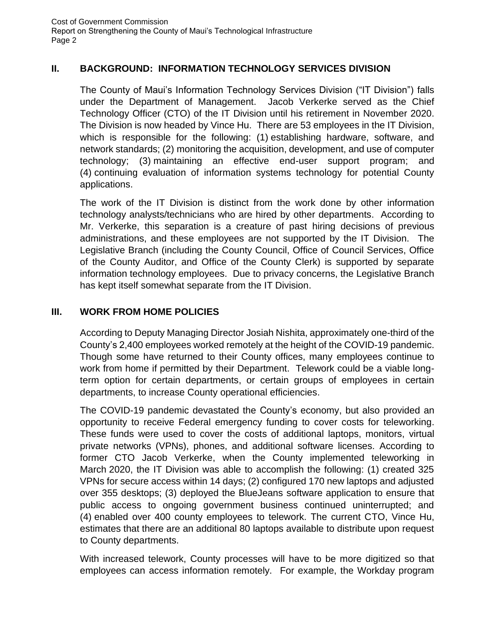#### **II. BACKGROUND: INFORMATION TECHNOLOGY SERVICES DIVISION**

The County of Maui's Information Technology Services Division ("IT Division") falls under the Department of Management. Jacob Verkerke served as the Chief Technology Officer (CTO) of the IT Division until his retirement in November 2020. The Division is now headed by Vince Hu. There are 53 employees in the IT Division, which is responsible for the following: (1) establishing hardware, software, and network standards; (2) monitoring the acquisition, development, and use of computer technology; (3) maintaining an effective end-user support program; and (4) continuing evaluation of information systems technology for potential County applications.

The work of the IT Division is distinct from the work done by other information technology analysts/technicians who are hired by other departments. According to Mr. Verkerke, this separation is a creature of past hiring decisions of previous administrations, and these employees are not supported by the IT Division. The Legislative Branch (including the County Council, Office of Council Services, Office of the County Auditor, and Office of the County Clerk) is supported by separate information technology employees. Due to privacy concerns, the Legislative Branch has kept itself somewhat separate from the IT Division.

#### **III. WORK FROM HOME POLICIES**

According to Deputy Managing Director Josiah Nishita, approximately one-third of the County's 2,400 employees worked remotely at the height of the COVID-19 pandemic. Though some have returned to their County offices, many employees continue to work from home if permitted by their Department. Telework could be a viable longterm option for certain departments, or certain groups of employees in certain departments, to increase County operational efficiencies.

The COVID-19 pandemic devastated the County's economy, but also provided an opportunity to receive Federal emergency funding to cover costs for teleworking. These funds were used to cover the costs of additional laptops, monitors, virtual private networks (VPNs), phones, and additional software licenses. According to former CTO Jacob Verkerke, when the County implemented teleworking in March 2020, the IT Division was able to accomplish the following: (1) created 325 VPNs for secure access within 14 days; (2) configured 170 new laptops and adjusted over 355 desktops; (3) deployed the BlueJeans software application to ensure that public access to ongoing government business continued uninterrupted; and (4) enabled over 400 county employees to telework. The current CTO, Vince Hu, estimates that there are an additional 80 laptops available to distribute upon request to County departments.

With increased telework, County processes will have to be more digitized so that employees can access information remotely. For example, the Workday program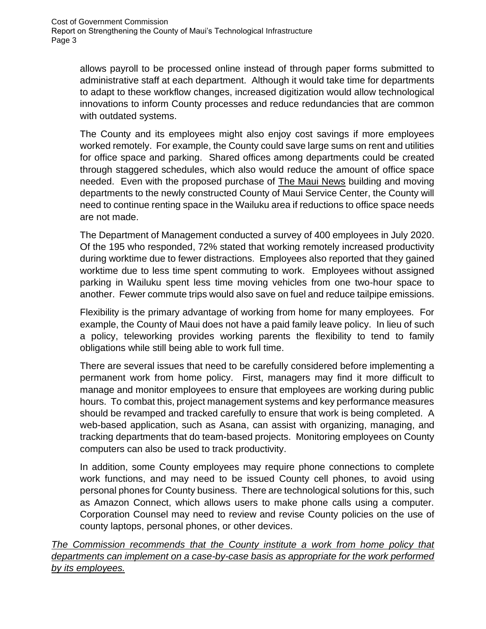allows payroll to be processed online instead of through paper forms submitted to administrative staff at each department. Although it would take time for departments to adapt to these workflow changes, increased digitization would allow technological innovations to inform County processes and reduce redundancies that are common with outdated systems.

The County and its employees might also enjoy cost savings if more employees worked remotely. For example, the County could save large sums on rent and utilities for office space and parking. Shared offices among departments could be created through staggered schedules, which also would reduce the amount of office space needed. Even with the proposed purchase of The Maui News building and moving departments to the newly constructed County of Maui Service Center, the County will need to continue renting space in the Wailuku area if reductions to office space needs are not made.

The Department of Management conducted a survey of 400 employees in July 2020. Of the 195 who responded, 72% stated that working remotely increased productivity during worktime due to fewer distractions. Employees also reported that they gained worktime due to less time spent commuting to work. Employees without assigned parking in Wailuku spent less time moving vehicles from one two-hour space to another. Fewer commute trips would also save on fuel and reduce tailpipe emissions.

Flexibility is the primary advantage of working from home for many employees. For example, the County of Maui does not have a paid family leave policy. In lieu of such a policy, teleworking provides working parents the flexibility to tend to family obligations while still being able to work full time.

There are several issues that need to be carefully considered before implementing a permanent work from home policy. First, managers may find it more difficult to manage and monitor employees to ensure that employees are working during public hours. To combat this, project management systems and key performance measures should be revamped and tracked carefully to ensure that work is being completed. A web-based application, such as Asana, can assist with organizing, managing, and tracking departments that do team-based projects. Monitoring employees on County computers can also be used to track productivity.

In addition, some County employees may require phone connections to complete work functions, and may need to be issued County cell phones, to avoid using personal phones for County business. There are technological solutions for this, such as Amazon Connect, which allows users to make phone calls using a computer. Corporation Counsel may need to review and revise County policies on the use of county laptops, personal phones, or other devices.

*The Commission recommends that the County institute a work from home policy that departments can implement on a case-by-case basis as appropriate for the work performed by its employees.*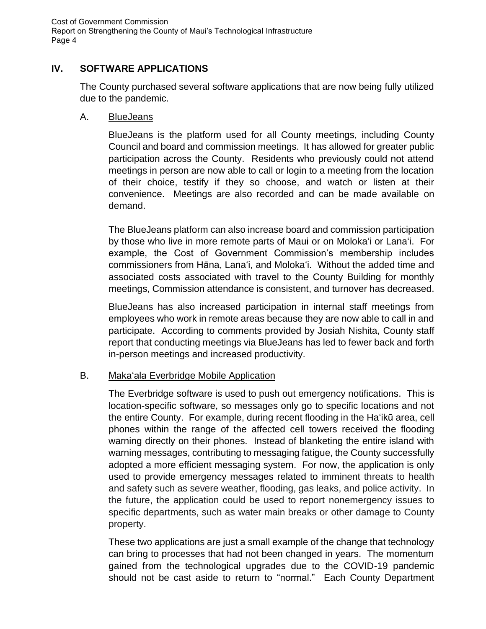#### **IV. SOFTWARE APPLICATIONS**

The County purchased several software applications that are now being fully utilized due to the pandemic.

#### A. BlueJeans

BlueJeans is the platform used for all County meetings, including County Council and board and commission meetings. It has allowed for greater public participation across the County. Residents who previously could not attend meetings in person are now able to call or login to a meeting from the location of their choice, testify if they so choose, and watch or listen at their convenience. Meetings are also recorded and can be made available on demand.

The BlueJeans platform can also increase board and commission participation by those who live in more remote parts of Maui or on Moloka'i or Lana'i. For example, the Cost of Government Commission's membership includes commissioners from Hāna, Lana'i, and Moloka'i. Without the added time and associated costs associated with travel to the County Building for monthly meetings, Commission attendance is consistent, and turnover has decreased.

BlueJeans has also increased participation in internal staff meetings from employees who work in remote areas because they are now able to call in and participate. According to comments provided by Josiah Nishita, County staff report that conducting meetings via BlueJeans has led to fewer back and forth in-person meetings and increased productivity.

#### B. Maka'ala Everbridge Mobile Application

The Everbridge software is used to push out emergency notifications. This is location-specific software, so messages only go to specific locations and not the entire County. For example, during recent flooding in the Ha'ikū area, cell phones within the range of the affected cell towers received the flooding warning directly on their phones. Instead of blanketing the entire island with warning messages, contributing to messaging fatigue, the County successfully adopted a more efficient messaging system. For now, the application is only used to provide emergency messages related to imminent threats to health and safety such as severe weather, flooding, gas leaks, and police activity. In the future, the application could be used to report nonemergency issues to specific departments, such as water main breaks or other damage to County property.

These two applications are just a small example of the change that technology can bring to processes that had not been changed in years. The momentum gained from the technological upgrades due to the COVID-19 pandemic should not be cast aside to return to "normal." Each County Department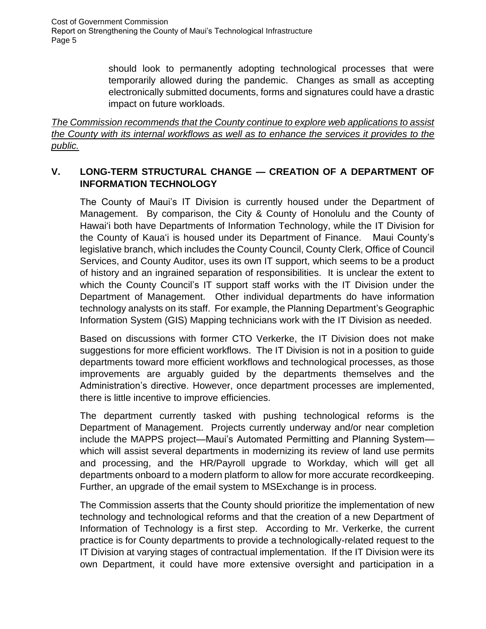> should look to permanently adopting technological processes that were temporarily allowed during the pandemic. Changes as small as accepting electronically submitted documents, forms and signatures could have a drastic impact on future workloads.

*The Commission recommends that the County continue to explore web applications to assist the County with its internal workflows as well as to enhance the services it provides to the public.* 

#### **V. LONG-TERM STRUCTURAL CHANGE — CREATION OF A DEPARTMENT OF INFORMATION TECHNOLOGY**

The County of Maui's IT Division is currently housed under the Department of Management. By comparison, the City & County of Honolulu and the County of Hawaiʻi both have Departments of Information Technology, while the IT Division for the County of Kauaʻi is housed under its Department of Finance. Maui County's legislative branch, which includes the County Council, County Clerk, Office of Council Services, and County Auditor, uses its own IT support, which seems to be a product of history and an ingrained separation of responsibilities. It is unclear the extent to which the County Council's IT support staff works with the IT Division under the Department of Management. Other individual departments do have information technology analysts on its staff. For example, the Planning Department's Geographic Information System (GIS) Mapping technicians work with the IT Division as needed.

Based on discussions with former CTO Verkerke, the IT Division does not make suggestions for more efficient workflows. The IT Division is not in a position to guide departments toward more efficient workflows and technological processes, as those improvements are arguably guided by the departments themselves and the Administration's directive. However, once department processes are implemented, there is little incentive to improve efficiencies.

The department currently tasked with pushing technological reforms is the Department of Management. Projects currently underway and/or near completion include the MAPPS project—Maui's Automated Permitting and Planning System which will assist several departments in modernizing its review of land use permits and processing, and the HR/Payroll upgrade to Workday, which will get all departments onboard to a modern platform to allow for more accurate recordkeeping. Further, an upgrade of the email system to MSExchange is in process.

The Commission asserts that the County should prioritize the implementation of new technology and technological reforms and that the creation of a new Department of Information of Technology is a first step. According to Mr. Verkerke, the current practice is for County departments to provide a technologically-related request to the IT Division at varying stages of contractual implementation. If the IT Division were its own Department, it could have more extensive oversight and participation in a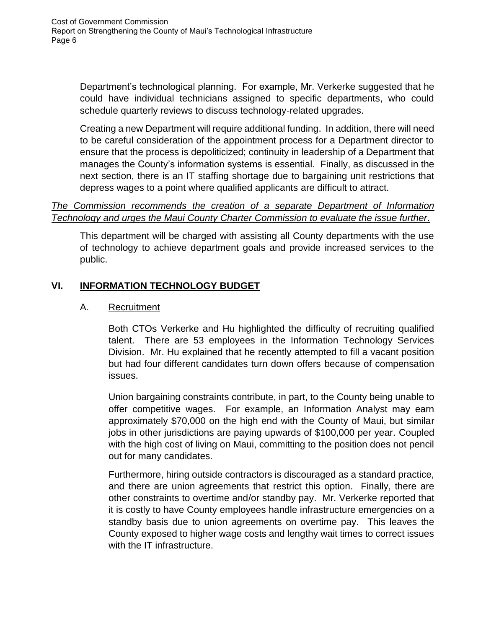Department's technological planning. For example, Mr. Verkerke suggested that he could have individual technicians assigned to specific departments, who could schedule quarterly reviews to discuss technology-related upgrades.

Creating a new Department will require additional funding. In addition, there will need to be careful consideration of the appointment process for a Department director to ensure that the process is depoliticized; continuity in leadership of a Department that manages the County's information systems is essential. Finally, as discussed in the next section, there is an IT staffing shortage due to bargaining unit restrictions that depress wages to a point where qualified applicants are difficult to attract.

#### *The Commission recommends the creation of a separate Department of Information Technology and urges the Maui County Charter Commission to evaluate the issue further*.

This department will be charged with assisting all County departments with the use of technology to achieve department goals and provide increased services to the public.

#### **VI. INFORMATION TECHNOLOGY BUDGET**

#### A. Recruitment

Both CTOs Verkerke and Hu highlighted the difficulty of recruiting qualified talent. There are 53 employees in the Information Technology Services Division. Mr. Hu explained that he recently attempted to fill a vacant position but had four different candidates turn down offers because of compensation issues.

Union bargaining constraints contribute, in part, to the County being unable to offer competitive wages. For example, an Information Analyst may earn approximately \$70,000 on the high end with the County of Maui, but similar jobs in other jurisdictions are paying upwards of \$100,000 per year. Coupled with the high cost of living on Maui, committing to the position does not pencil out for many candidates.

Furthermore, hiring outside contractors is discouraged as a standard practice, and there are union agreements that restrict this option. Finally, there are other constraints to overtime and/or standby pay. Mr. Verkerke reported that it is costly to have County employees handle infrastructure emergencies on a standby basis due to union agreements on overtime pay. This leaves the County exposed to higher wage costs and lengthy wait times to correct issues with the IT infrastructure.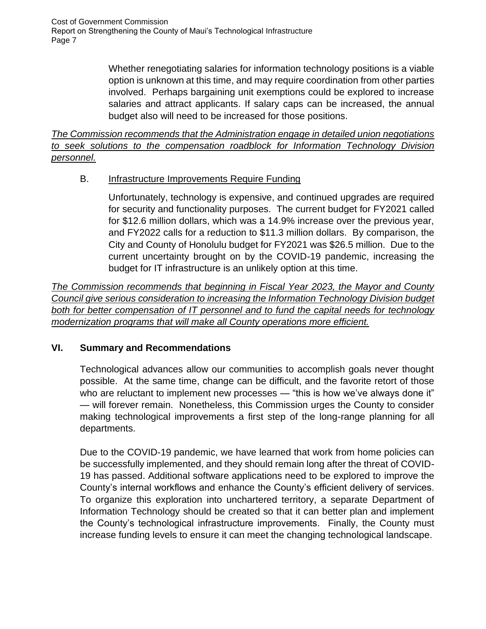> Whether renegotiating salaries for information technology positions is a viable option is unknown at this time, and may require coordination from other parties involved. Perhaps bargaining unit exemptions could be explored to increase salaries and attract applicants. If salary caps can be increased, the annual budget also will need to be increased for those positions.

*The Commission recommends that the Administration engage in detailed union negotiations to seek solutions to the compensation roadblock for Information Technology Division personnel.*

#### B. **Infrastructure Improvements Require Funding**

Unfortunately, technology is expensive, and continued upgrades are required for security and functionality purposes. The current budget for FY2021 called for \$12.6 million dollars, which was a 14.9% increase over the previous year, and FY2022 calls for a reduction to \$11.3 million dollars. By comparison, the City and County of Honolulu budget for FY2021 was \$26.5 million. Due to the current uncertainty brought on by the COVID-19 pandemic, increasing the budget for IT infrastructure is an unlikely option at this time.

*The Commission recommends that beginning in Fiscal Year 2023, the Mayor and County Council give serious consideration to increasing the Information Technology Division budget both for better compensation of IT personnel and to fund the capital needs for technology modernization programs that will make all County operations more efficient.*

#### **VI. Summary and Recommendations**

Technological advances allow our communities to accomplish goals never thought possible. At the same time, change can be difficult, and the favorite retort of those who are reluctant to implement new processes — "this is how we've always done it" — will forever remain. Nonetheless, this Commission urges the County to consider making technological improvements a first step of the long-range planning for all departments.

Due to the COVID-19 pandemic, we have learned that work from home policies can be successfully implemented, and they should remain long after the threat of COVID-19 has passed. Additional software applications need to be explored to improve the County's internal workflows and enhance the County's efficient delivery of services. To organize this exploration into unchartered territory, a separate Department of Information Technology should be created so that it can better plan and implement the County's technological infrastructure improvements. Finally, the County must increase funding levels to ensure it can meet the changing technological landscape.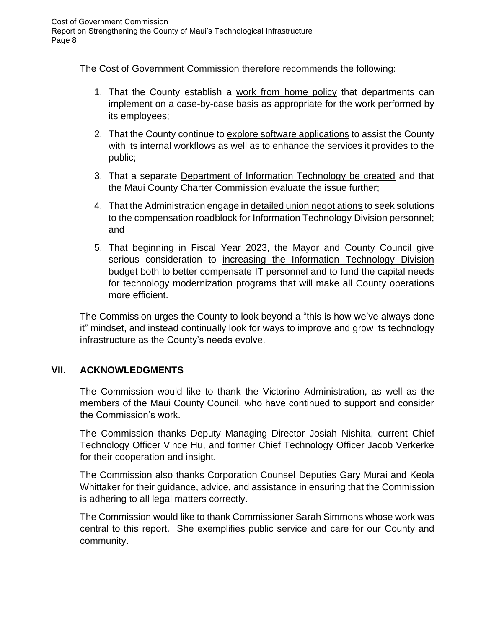The Cost of Government Commission therefore recommends the following:

- 1. That the County establish a work from home policy that departments can implement on a case-by-case basis as appropriate for the work performed by its employees;
- 2. That the County continue to explore software applications to assist the County with its internal workflows as well as to enhance the services it provides to the public;
- 3. That a separate Department of Information Technology be created and that the Maui County Charter Commission evaluate the issue further;
- 4. That the Administration engage in detailed union negotiations to seek solutions to the compensation roadblock for Information Technology Division personnel; and
- 5. That beginning in Fiscal Year 2023, the Mayor and County Council give serious consideration to increasing the Information Technology Division budget both to better compensate IT personnel and to fund the capital needs for technology modernization programs that will make all County operations more efficient.

The Commission urges the County to look beyond a "this is how we've always done it" mindset, and instead continually look for ways to improve and grow its technology infrastructure as the County's needs evolve.

#### **VII. ACKNOWLEDGMENTS**

The Commission would like to thank the Victorino Administration, as well as the members of the Maui County Council, who have continued to support and consider the Commission's work.

The Commission thanks Deputy Managing Director Josiah Nishita, current Chief Technology Officer Vince Hu, and former Chief Technology Officer Jacob Verkerke for their cooperation and insight.

The Commission also thanks Corporation Counsel Deputies Gary Murai and Keola Whittaker for their guidance, advice, and assistance in ensuring that the Commission is adhering to all legal matters correctly.

The Commission would like to thank Commissioner Sarah Simmons whose work was central to this report. She exemplifies public service and care for our County and community.